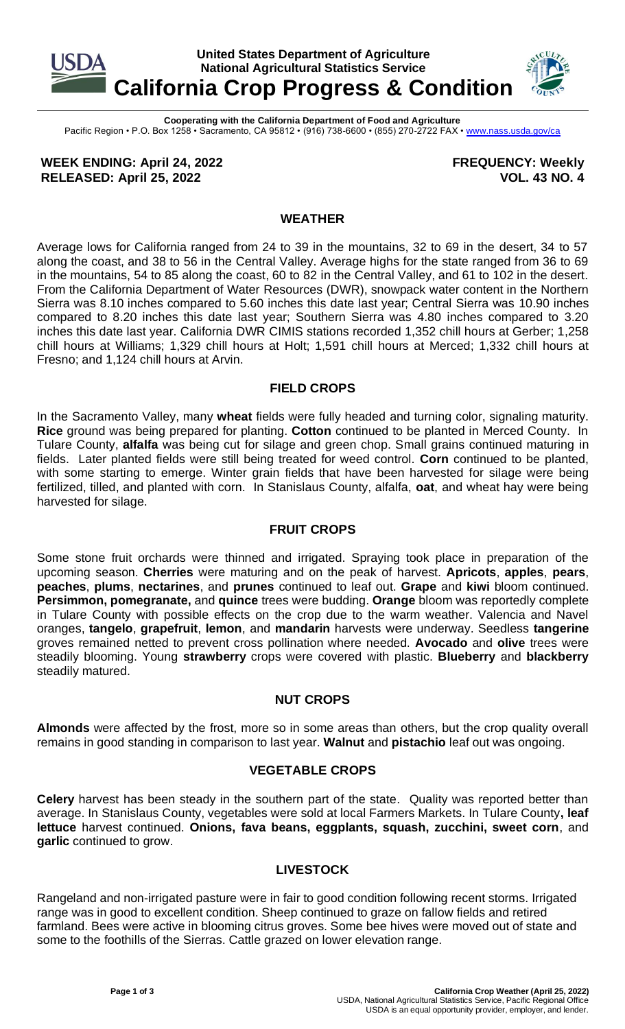

**Cooperating with the California Department of Food and Agriculture** Pacific Region • P.O. Box 1258 • Sacramento, CA 95812 • (916) 738-6600 • (855) 270-2722 FAX [• www.nass.usda.gov/ca](http://www.nass.usda.gov/ca)

**WEEK ENDING: April 24, 2022 RELEASED: April 25, 2022**

**FREQUENCY: Weekly VOL. 43 NO. 4**

## **WEATHER**

Average lows for California ranged from 24 to 39 in the mountains, 32 to 69 in the desert, 34 to 57 along the coast, and 38 to 56 in the Central Valley. Average highs for the state ranged from 36 to 69 in the mountains, 54 to 85 along the coast, 60 to 82 in the Central Valley, and 61 to 102 in the desert. From the California Department of Water Resources (DWR), snowpack water content in the Northern Sierra was 8.10 inches compared to 5.60 inches this date last year; Central Sierra was 10.90 inches compared to 8.20 inches this date last year; Southern Sierra was 4.80 inches compared to 3.20 inches this date last year. California DWR CIMIS stations recorded 1,352 chill hours at Gerber; 1,258 chill hours at Williams; 1,329 chill hours at Holt; 1,591 chill hours at Merced; 1,332 chill hours at Fresno; and 1,124 chill hours at Arvin.

### **FIELD CROPS**

In the Sacramento Valley, many **wheat** fields were fully headed and turning color, signaling maturity. **Rice** ground was being prepared for planting. **Cotton** continued to be planted in Merced County. In Tulare County, **alfalfa** was being cut for silage and green chop. Small grains continued maturing in fields. Later planted fields were still being treated for weed control. **Corn** continued to be planted, with some starting to emerge. Winter grain fields that have been harvested for silage were being fertilized, tilled, and planted with corn. In Stanislaus County, alfalfa, **oat**, and wheat hay were being harvested for silage.

### **FRUIT CROPS**

Some stone fruit orchards were thinned and irrigated. Spraying took place in preparation of the upcoming season. **Cherries** were maturing and on the peak of harvest. **Apricots**, **apples**, **pears**, **peaches**, **plums**, **nectarines**, and **prunes** continued to leaf out. **Grape** and **kiwi** bloom continued. **Persimmon, pomegranate,** and **quince** trees were budding. **Orange** bloom was reportedly complete in Tulare County with possible effects on the crop due to the warm weather. Valencia and Navel oranges, **tangelo**, **grapefruit**, **lemon**, and **mandarin** harvests were underway. Seedless **tangerine** groves remained netted to prevent cross pollination where needed. **Avocado** and **olive** trees were steadily blooming. Young **strawberry** crops were covered with plastic. **Blueberry** and **blackberry** steadily matured.

### **NUT CROPS**

**Almonds** were affected by the frost, more so in some areas than others, but the crop quality overall remains in good standing in comparison to last year. **Walnut** and **pistachio** leaf out was ongoing.

# **VEGETABLE CROPS**

**Celery** harvest has been steady in the southern part of the state. Quality was reported better than average. In Stanislaus County, vegetables were sold at local Farmers Markets. In Tulare County**, leaf lettuce** harvest continued. **Onions, fava beans, eggplants, squash, zucchini, sweet corn**, and **garlic** continued to grow.

# **LIVESTOCK**

Rangeland and non-irrigated pasture were in fair to good condition following recent storms. Irrigated range was in good to excellent condition. Sheep continued to graze on fallow fields and retired farmland. Bees were active in blooming citrus groves. Some bee hives were moved out of state and some to the foothills of the Sierras. Cattle grazed on lower elevation range.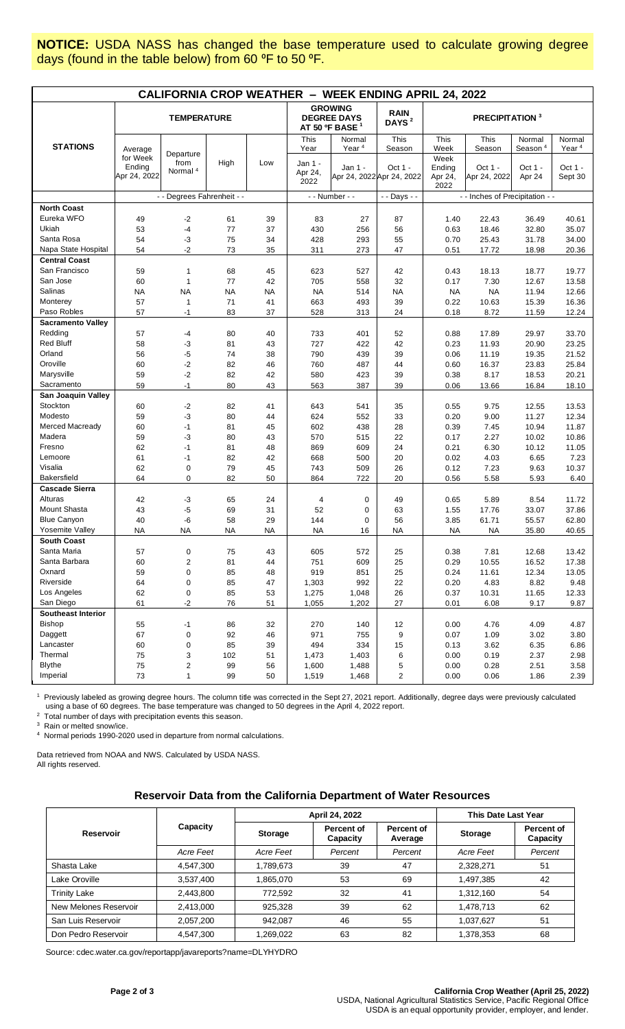**NOTICE:** USDA NASS has changed the base temperature used to calculate growing degree days (found in the table below) from 60 °F to 50 °F.

| <b>CALIFORNIA CROP WEATHER - WEEK ENDING APRIL 24, 2022</b> |                                    |                                          |           |                                                                    |                            |                                  |                                      |                                   |                         |                               |                             |
|-------------------------------------------------------------|------------------------------------|------------------------------------------|-----------|--------------------------------------------------------------------|----------------------------|----------------------------------|--------------------------------------|-----------------------------------|-------------------------|-------------------------------|-----------------------------|
|                                                             | <b>TEMPERATURE</b>                 |                                          |           | <b>GROWING</b><br><b>DEGREE DAYS</b><br>AT 50 ºF BASE <sup>1</sup> |                            | <b>RAIN</b><br>DAYS <sup>2</sup> | <b>PRECIPITATION 3</b>               |                                   |                         |                               |                             |
| <b>STATIONS</b>                                             | Average                            |                                          |           |                                                                    | This<br>Year               | Normal<br>Year <sup>4</sup>      | This<br>Season                       | This<br>Week                      | This<br>Season          | Normal<br>Season <sup>4</sup> | Normal<br>Year <sup>4</sup> |
|                                                             | for Week<br>Ending<br>Apr 24, 2022 | Departure<br>from<br>Normal <sup>4</sup> | High      | Low                                                                | Jan 1 -<br>Apr 24,<br>2022 | Jan 1 -                          | Oct 1 -<br>Apr 24, 2022 Apr 24, 2022 | Week<br>Ending<br>Apr 24,<br>2022 | Oct 1 -<br>Apr 24, 2022 | Oct 1 -<br>Apr 24             | Oct 1 -<br>Sept 30          |
|                                                             |                                    | - - Degrees Fahrenheit - -               |           |                                                                    | - - Number - -             |                                  | - - Days - -                         | - - Inches of Precipitation - -   |                         |                               |                             |
| <b>North Coast</b>                                          |                                    |                                          |           |                                                                    |                            |                                  |                                      |                                   |                         |                               |                             |
| Eureka WFO                                                  | 49                                 | $-2$                                     | 61        | 39                                                                 | 83                         | 27                               | 87                                   | 1.40                              | 22.43                   | 36.49                         | 40.61                       |
| Ukiah                                                       | 53                                 | $-4$                                     | 77        | 37                                                                 | 430                        | 256                              | 56                                   | 0.63                              | 18.46                   | 32.80                         | 35.07                       |
| Santa Rosa                                                  | 54                                 | $-3$                                     | 75        | 34                                                                 | 428                        | 293                              | 55                                   | 0.70                              | 25.43                   | 31.78                         | 34.00                       |
| Napa State Hospital                                         | 54                                 | -2                                       | 73        | 35                                                                 | 311                        | 273                              | 47                                   | 0.51                              | 17.72                   | 18.98                         | 20.36                       |
| <b>Central Coast</b>                                        |                                    |                                          |           |                                                                    |                            |                                  |                                      |                                   |                         |                               |                             |
| San Francisco                                               | 59                                 | $\mathbf{1}$                             | 68        | 45                                                                 | 623                        | 527                              | 42                                   | 0.43                              | 18.13                   | 18.77                         | 19.77                       |
| San Jose                                                    | 60                                 | $\mathbf{1}$                             | 77        | 42                                                                 | 705                        | 558                              | 32                                   | 0.17                              | 7.30                    | 12.67                         | 13.58                       |
| Salinas                                                     | <b>NA</b>                          | <b>NA</b>                                | <b>NA</b> | <b>NA</b>                                                          | <b>NA</b>                  | 514                              | <b>NA</b>                            | <b>NA</b>                         | <b>NA</b>               | 11.94                         | 12.66                       |
| Monterey                                                    | 57                                 | $\mathbf{1}$                             | 71        | 41                                                                 | 663                        | 493                              | 39                                   | 0.22                              | 10.63                   | 15.39                         | 16.36                       |
| Paso Robles                                                 | 57                                 | $-1$                                     | 83        | 37                                                                 | 528                        | 313                              | 24                                   | 0.18                              | 8.72                    | 11.59                         | 12.24                       |
| <b>Sacramento Valley</b>                                    |                                    |                                          |           |                                                                    |                            |                                  |                                      |                                   |                         |                               |                             |
| Redding                                                     | 57                                 | -4                                       | 80        | 40                                                                 | 733                        | 401                              | 52                                   | 0.88                              | 17.89                   | 29.97                         | 33.70                       |
| <b>Red Bluff</b>                                            | 58                                 | $-3$                                     | 81        | 43                                                                 | 727                        | 422                              | 42                                   | 0.23                              | 11.93                   | 20.90                         | 23.25                       |
| Orland                                                      | 56                                 | -5                                       | 74        | 38                                                                 | 790                        | 439                              | 39                                   | 0.06                              | 11.19                   | 19.35                         | 21.52                       |
| Oroville                                                    | 60                                 | $-2$                                     | 82        | 46                                                                 | 760                        | 487                              | 44                                   | 0.60                              | 16.37                   | 23.83                         | 25.84                       |
| Marysville                                                  | 59                                 | $-2$                                     | 82        | 42                                                                 | 580                        | 423                              | 39                                   | 0.38                              | 8.17                    | 18.53                         | 20.21                       |
| Sacramento                                                  | 59                                 | $-1$                                     | 80        | 43                                                                 | 563                        | 387                              | 39                                   | 0.06                              | 13.66                   | 16.84                         | 18.10                       |
| San Joaquin Valley                                          |                                    |                                          |           |                                                                    |                            |                                  |                                      |                                   |                         |                               |                             |
| Stockton                                                    | 60                                 | $-2$                                     | 82        | 41                                                                 | 643                        | 541                              | 35                                   | 0.55                              | 9.75                    | 12.55                         | 13.53                       |
| Modesto                                                     | 59                                 | $-3$                                     | 80        | 44                                                                 | 624                        | 552                              | 33                                   | 0.20                              | 9.00                    | 11.27                         | 12.34                       |
| Merced Macready                                             | 60                                 | $-1$                                     | 81        | 45                                                                 | 602                        | 438                              | 28                                   | 0.39                              | 7.45                    | 10.94                         | 11.87                       |
| Madera                                                      | 59                                 | -3                                       | 80        | 43                                                                 | 570                        | 515                              | 22                                   | 0.17                              | 2.27                    | 10.02                         | 10.86                       |
| Fresno                                                      | 62                                 | $-1$                                     | 81        | 48                                                                 | 869                        | 609                              | 24                                   | 0.21                              | 6.30                    | 10.12                         | 11.05                       |
| Lemoore                                                     | 61                                 | $-1$                                     | 82        | 42                                                                 | 668                        | 500                              | 20                                   | 0.02                              | 4.03                    | 6.65                          | 7.23                        |
| Visalia                                                     | 62                                 | $\mathbf 0$                              | 79        | 45                                                                 | 743                        | 509                              | 26                                   | 0.12                              | 7.23                    | 9.63                          | 10.37                       |
| <b>Bakersfield</b>                                          | 64                                 | $\mathbf 0$                              | 82        | 50                                                                 | 864                        | 722                              | 20                                   | 0.56                              | 5.58                    | 5.93                          | 6.40                        |
| <b>Cascade Sierra</b>                                       |                                    |                                          |           |                                                                    |                            |                                  |                                      |                                   |                         |                               |                             |
| Alturas                                                     | 42                                 | -3                                       | 65        | 24                                                                 | 4                          | 0                                | 49                                   | 0.65                              | 5.89                    | 8.54                          | 11.72                       |
| Mount Shasta                                                | 43                                 | $-5$                                     | 69        | 31                                                                 | 52                         | 0                                | 63                                   | 1.55                              | 17.76                   | 33.07                         | 37.86                       |
| <b>Blue Canyon</b>                                          | 40                                 | -6                                       | 58        | 29                                                                 | 144                        | 0                                | 56                                   | 3.85                              | 61.71                   | 55.57                         | 62.80                       |
| Yosemite Valley                                             | <b>NA</b>                          | <b>NA</b>                                | <b>NA</b> | <b>NA</b>                                                          | <b>NA</b>                  | 16                               | <b>NA</b>                            | <b>NA</b>                         | <b>NA</b>               | 35.80                         | 40.65                       |
| <b>South Coast</b>                                          |                                    |                                          |           |                                                                    |                            |                                  |                                      |                                   |                         |                               |                             |
| Santa Maria                                                 | 57                                 | $\pmb{0}$                                | 75        | 43                                                                 | 605                        | 572                              | 25                                   | 0.38                              | 7.81                    | 12.68                         | 13.42                       |
| Santa Barbara                                               | 60                                 | $\boldsymbol{2}$                         | 81        | 44                                                                 | 751                        | 609                              | 25                                   | 0.29                              | 10.55                   | 16.52                         | 17.38                       |
| Oxnard                                                      | 59                                 | $\pmb{0}$                                | 85        | 48                                                                 | 919                        | 851                              | 25                                   | 0.24                              | 11.61                   | 12.34                         | 13.05                       |
| Riverside                                                   | 64                                 | $\mathbf 0$                              | 85        | 47                                                                 | 1,303                      | 992                              | 22                                   | 0.20                              | 4.83                    | 8.82                          | 9.48                        |
| Los Angeles                                                 | 62                                 | 0                                        | 85        | 53                                                                 | 1,275                      | 1,048                            | 26                                   | 0.37                              | 10.31                   | 11.65                         | 12.33                       |
| San Diego                                                   | 61                                 | $-2$                                     | 76        | 51                                                                 | 1,055                      | 1,202                            | 27                                   | 0.01                              | 6.08                    | 9.17                          | 9.87                        |
| <b>Southeast Interior</b>                                   |                                    |                                          |           |                                                                    |                            |                                  |                                      |                                   |                         |                               |                             |
| <b>Bishop</b>                                               | 55                                 | $-1$                                     | 86        | 32                                                                 | 270                        | 140                              | 12                                   | 0.00                              | 4.76                    | 4.09                          | 4.87                        |
| Daggett                                                     | 67                                 | $\pmb{0}$                                | 92        | 46                                                                 | 971                        | 755                              | 9                                    | 0.07                              | 1.09                    | 3.02                          | 3.80                        |
| Lancaster                                                   | 60                                 | $\pmb{0}$                                | 85        | 39                                                                 | 494                        | 334                              | 15                                   | 0.13                              | 3.62                    | 6.35                          | 6.86                        |
| Thermal                                                     | 75                                 | 3                                        | 102       | 51                                                                 | 1,473                      | 1,403                            | 6                                    | 0.00                              | 0.19                    | 2.37                          | 2.98                        |
| <b>Blythe</b>                                               | 75                                 | $\mathbf 2$                              | 99        | 56                                                                 | 1,600                      | 1,488                            | 5                                    | 0.00                              | 0.28                    | 2.51                          | 3.58                        |
| Imperial                                                    | 73                                 | $\mathbf{1}$                             | 99        | 50                                                                 | 1,519                      | 1,468                            | $\overline{2}$                       | 0.00                              | 0.06                    | 1.86                          | 2.39                        |

<sup>1</sup> Previously labeled as growing degree hours. The column title was corrected in the Sept 27, 2021 report. Additionally, degree days were previously calculated using a base of 60 degrees. The base temperature was changed to 50 degrees in the April 4, 2022 report.

<sup>2</sup> Total number of days with precipitation events this season.

3 Rain or melted snow/ice.

4 Normal periods 1990-2020 used in departure from normal calculations.

Data retrieved from NOAA and NWS. Calculated by USDA NASS. All rights reserved.

### **Reservoir Data from the California Department of Water Resources**

|                       |           |                | April 24, 2022         | This Date Last Year   |                |                               |
|-----------------------|-----------|----------------|------------------------|-----------------------|----------------|-------------------------------|
| <b>Reservoir</b>      | Capacity  | <b>Storage</b> | Percent of<br>Capacity | Percent of<br>Average | <b>Storage</b> | <b>Percent of</b><br>Capacity |
|                       | Acre Feet | Acre Feet      | Percent                | Percent               | Acre Feet      | Percent                       |
| Shasta Lake           | 4,547,300 | 1,789,673      | 39                     | 47                    | 2,328,271      | 51                            |
| Lake Oroville         | 3,537,400 | 1,865,070      | 53                     | 69                    | 1,497,385      | 42                            |
| <b>Trinity Lake</b>   | 2,443,800 | 772.592        | 32                     | 41                    | 1,312,160      | 54                            |
| New Melones Reservoir | 2,413,000 | 925.328        | 39                     | 62                    | 1,478,713      | 62                            |
| San Luis Reservoir    | 2,057,200 | 942.087        | 46                     | 55                    | 1,037,627      | 51                            |
| Don Pedro Reservoir   | 4,547,300 | 1,269,022      | 63                     | 82                    | 1,378,353      | 68                            |

Source[: cdec.water.ca.gov/reportapp/javareports?name=DLYHYDRO](https://cdec.water.ca.gov/reportapp/javareports?name=DLYHYDRO)